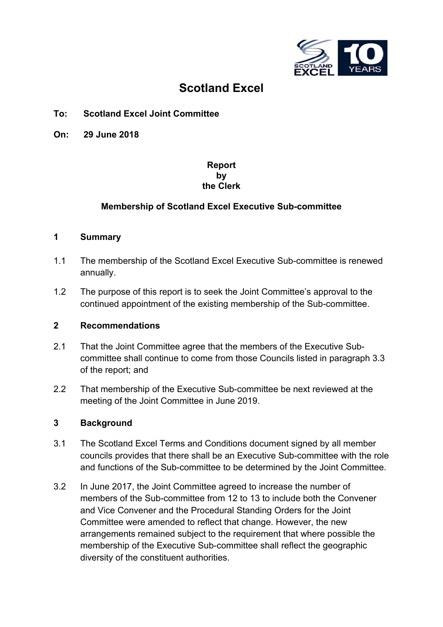

# **Scotland Excel**

# **To: Scotland Excel Joint Committee**

**On: 29 June 2018** 

## **Report by the Clerk**

## **Membership of Scotland Excel Executive Sub-committee**

#### **1 Summary**

- 1.1 The membership of the Scotland Excel Executive Sub-committee is renewed annually.
- 1.2 The purpose of this report is to seek the Joint Committee's approval to the continued appointment of the existing membership of the Sub-committee.

#### **2 Recommendations**

- 2.1 That the Joint Committee agree that the members of the Executive Subcommittee shall continue to come from those Councils listed in paragraph 3.3 of the report; and
- 2.2 That membership of the Executive Sub-committee be next reviewed at the meeting of the Joint Committee in June 2019.

#### **3 Background**

- 3.1 The Scotland Excel Terms and Conditions document signed by all member councils provides that there shall be an Executive Sub-committee with the role and functions of the Sub-committee to be determined by the Joint Committee.
- 3.2 In June 2017, the Joint Committee agreed to increase the number of members of the Sub-committee from 12 to 13 to include both the Convener and Vice Convener and the Procedural Standing Orders for the Joint Committee were amended to reflect that change. However, the new arrangements remained subject to the requirement that where possible the membership of the Executive Sub-committee shall reflect the geographic diversity of the constituent authorities.